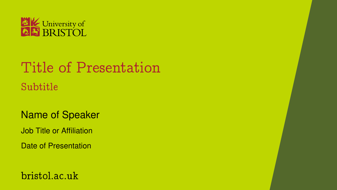

# Title of Presentation Subtitle

Name of Speaker Job Title or Affiliation Date of Presentation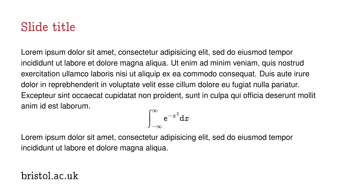### Slide title

Lorem ipsum dolor sit amet, consectetur adipisicing elit, sed do eiusmod tempor incididunt ut labore et dolore magna aliqua. Ut enim ad minim veniam, quis nostrud exercitation ullamco laboris nisi ut aliquip ex ea commodo consequat. Duis aute irure dolor in reprebhenderit in voluptate velit esse cillum dolore eu fugiat nulla pariatur. Excepteur sint occaecat cupidatat non proident, sunt in culpa qui officia deserunt mollit anim id est laborum.

$$
\int_{-\infty}^{\infty} \mathrm{e}^{-x^2} \mathrm{d}x
$$

Lorem ipsum dolor sit amet, consectetur adipisicing elit, sed do eiusmod tempor incididunt ut labore et dolore magna aliqua.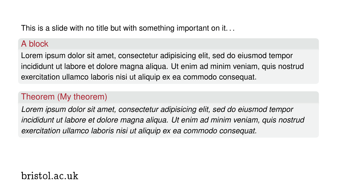This is a slide with no title but with something important on it. . .

#### A block

Lorem ipsum dolor sit amet, consectetur adipisicing elit, sed do eiusmod tempor incididunt ut labore et dolore magna aliqua. Ut enim ad minim veniam, quis nostrud exercitation ullamco laboris nisi ut aliquip ex ea commodo consequat.

#### Theorem (My theorem)

*Lorem ipsum dolor sit amet, consectetur adipisicing elit, sed do eiusmod tempor incididunt ut labore et dolore magna aliqua. Ut enim ad minim veniam, quis nostrud exercitation ullamco laboris nisi ut aliquip ex ea commodo consequat.*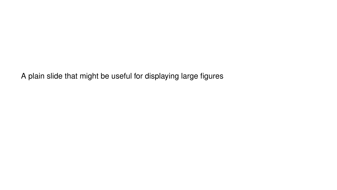A plain slide that might be useful for displaying large figures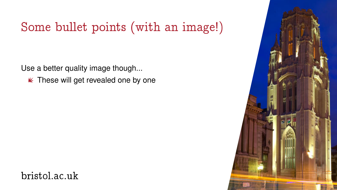Use a better quality image though...

 $\kappa$  These will get revealed one by one



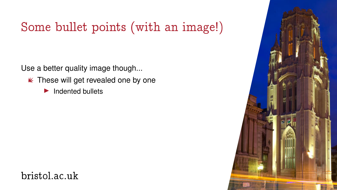Use a better quality image though...

- $\kappa$  These will get revealed one by one
	- $\blacktriangleright$  Indented bullets

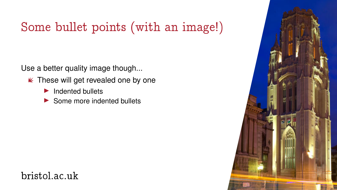Use a better quality image though...

- $\kappa$  These will get revealed one by one
	- ▶ Indented bullets
	- ▶ Some more indented bullets

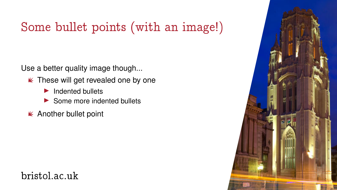Use a better quality image though...

- $\kappa$  These will get revealed one by one
	- ▶ Indented bullets
	- ▶ Some more indented bullets
- Another bullet point

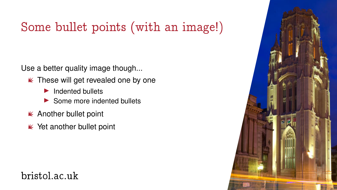Use a better quality image though...

- $\kappa$  These will get revealed one by one
	- ▶ Indented bullets
	- ▶ Some more indented bullets
- Another bullet point
- $\mathbb K$  Yet another bullet point